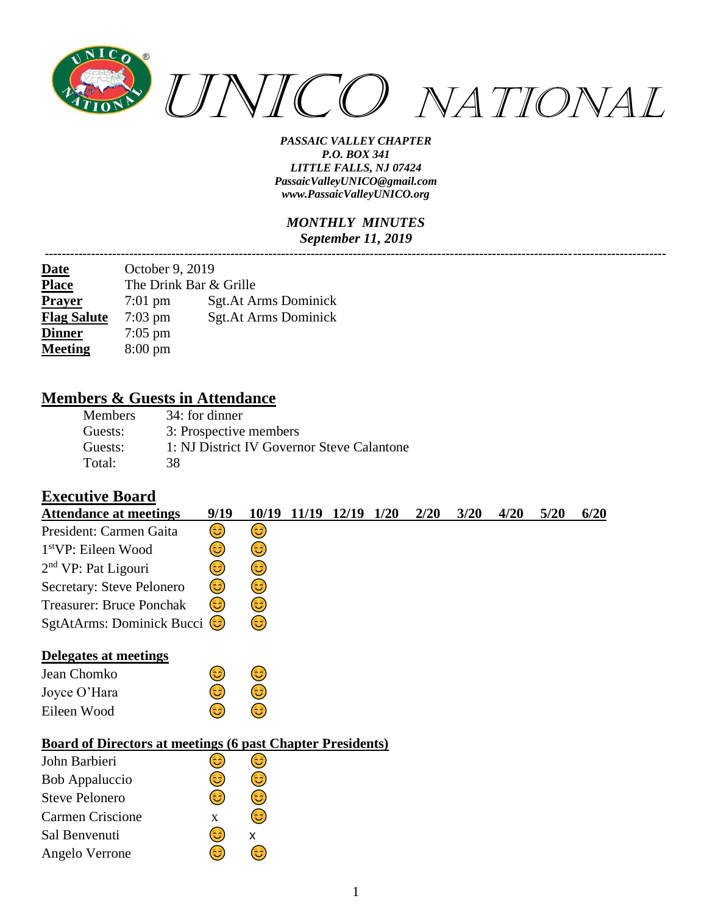

#### *MONTHLY MINUTES September 11, 2019*

*---------------------------------------------------------------------------------------------------------------------------------------------------*

| <b>Date</b>        | October 9, 2019        |                       |  |  |  |  |  |  |  |
|--------------------|------------------------|-----------------------|--|--|--|--|--|--|--|
| <b>Place</b>       | The Drink Bar & Grille |                       |  |  |  |  |  |  |  |
| <b>Prayer</b>      | $7:01$ pm              | Sgt. At Arms Dominick |  |  |  |  |  |  |  |
| <b>Flag Salute</b> | $7:03$ pm              | Sgt.At Arms Dominick  |  |  |  |  |  |  |  |
| <b>Dinner</b>      | $7:05$ pm              |                       |  |  |  |  |  |  |  |
| <b>Meeting</b>     | $8:00 \text{ pm}$      |                       |  |  |  |  |  |  |  |

### **Members & Guests in Attendance**

| <b>Members</b> | 34: for dinner                             |
|----------------|--------------------------------------------|
| Guests:        | 3: Prospective members                     |
| Guests:        | 1: NJ District IV Governor Steve Calantone |
| Total:         | 38.                                        |

6

#### **Executive Board**

Angelo Verrone

| <b>Attendance at meetings</b>                                     | 9/19         | 10/19 | 11/19 | 12/19 | 1/20 | 2/20 | 3/20 | 4/20 | 5/20 | 6/20 |
|-------------------------------------------------------------------|--------------|-------|-------|-------|------|------|------|------|------|------|
| President: Carmen Gaita                                           | 3)           | 3)    |       |       |      |      |      |      |      |      |
| $1stVP$ : Eileen Wood                                             | 3)           | 3     |       |       |      |      |      |      |      |      |
| $2nd VP$ : Pat Ligouri                                            | 3            | 3)    |       |       |      |      |      |      |      |      |
| Secretary: Steve Pelonero                                         | 3)           | 3)    |       |       |      |      |      |      |      |      |
| <b>Treasurer: Bruce Ponchak</b>                                   | 3            | 3)    |       |       |      |      |      |      |      |      |
| SgtAtArms: Dominick Bucci                                         |              | 6     |       |       |      |      |      |      |      |      |
| Delegates at meetings                                             |              |       |       |       |      |      |      |      |      |      |
| Jean Chomko                                                       | 3)           | 3)    |       |       |      |      |      |      |      |      |
| Joyce O'Hara                                                      | 3            | 3)    |       |       |      |      |      |      |      |      |
| Eileen Wood                                                       | 3            | 3     |       |       |      |      |      |      |      |      |
| <b>Board of Directors at meetings (6 past Chapter Presidents)</b> |              |       |       |       |      |      |      |      |      |      |
| John Barbieri                                                     | فأ           | 3     |       |       |      |      |      |      |      |      |
| <b>Bob Appaluccio</b>                                             | ಟ            | 3     |       |       |      |      |      |      |      |      |
| <b>Steve Pelonero</b>                                             | 6            | 3     |       |       |      |      |      |      |      |      |
| Carmen Criscione                                                  | $\mathbf{X}$ | ಡಿ    |       |       |      |      |      |      |      |      |
| Sal Benvenuti                                                     | 3            | x     |       |       |      |      |      |      |      |      |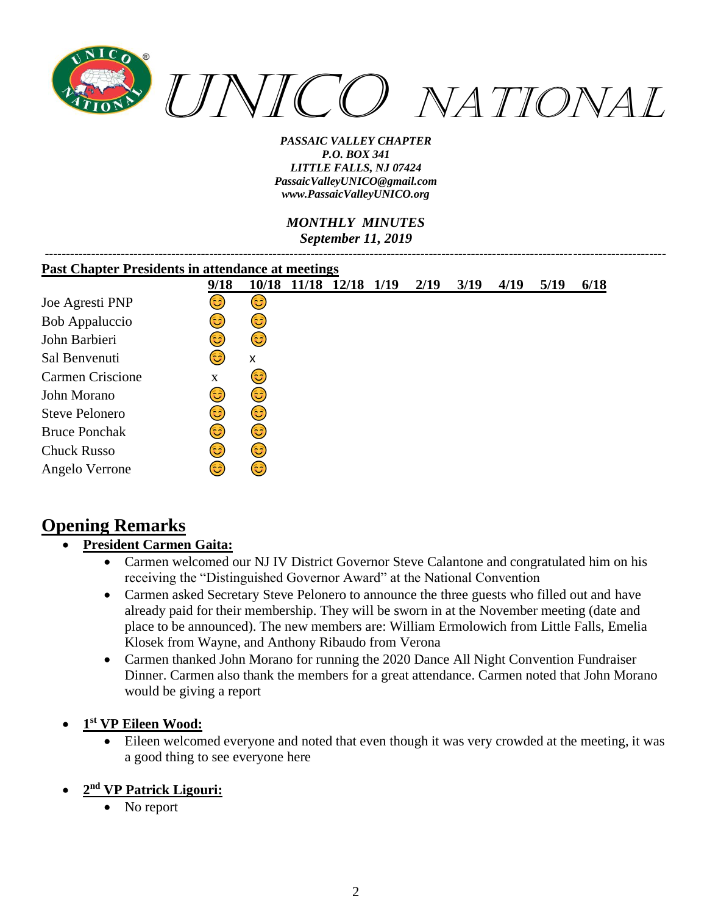

*MONTHLY MINUTES September 11, 2019*

| <b>Past Chapter Presidents in attendance at meetings</b> |             |       |       |            |  |      |      |      |      |      |
|----------------------------------------------------------|-------------|-------|-------|------------|--|------|------|------|------|------|
|                                                          | 9/18        | 10/18 | 11/18 | 12/18 1/19 |  | 2/19 | 3/19 | 4/19 | 5/19 | 6/18 |
| Joe Agresti PNP                                          | 3           | 3)    |       |            |  |      |      |      |      |      |
| <b>Bob Appaluccio</b>                                    | 3           | 3)    |       |            |  |      |      |      |      |      |
| John Barbieri                                            | 3           | (3    |       |            |  |      |      |      |      |      |
| Sal Benvenuti                                            | 63)         | X     |       |            |  |      |      |      |      |      |
| <b>Carmen Criscione</b>                                  | $\mathbf X$ | 3     |       |            |  |      |      |      |      |      |
| John Morano                                              | 3           | 3)    |       |            |  |      |      |      |      |      |
| <b>Steve Pelonero</b>                                    | 63)         | 3)    |       |            |  |      |      |      |      |      |
| <b>Bruce Ponchak</b>                                     | 3           | 3     |       |            |  |      |      |      |      |      |
| <b>Chuck Russo</b>                                       | 3           | 3     |       |            |  |      |      |      |      |      |
| Angelo Verrone                                           | ತಿ          | ಡಿ    |       |            |  |      |      |      |      |      |

# **Opening Remarks**

#### • **President Carmen Gaita:**

- Carmen welcomed our NJ IV District Governor Steve Calantone and congratulated him on his receiving the "Distinguished Governor Award" at the National Convention
- Carmen asked Secretary Steve Pelonero to announce the three guests who filled out and have already paid for their membership. They will be sworn in at the November meeting (date and place to be announced). The new members are: William Ermolowich from Little Falls, Emelia Klosek from Wayne, and Anthony Ribaudo from Verona
- Carmen thanked John Morano for running the 2020 Dance All Night Convention Fundraiser Dinner. Carmen also thank the members for a great attendance. Carmen noted that John Morano would be giving a report
- **1 st VP Eileen Wood:**
	- Eileen welcomed everyone and noted that even though it was very crowded at the meeting, it was a good thing to see everyone here

#### • **2 nd VP Patrick Ligouri:**

• No report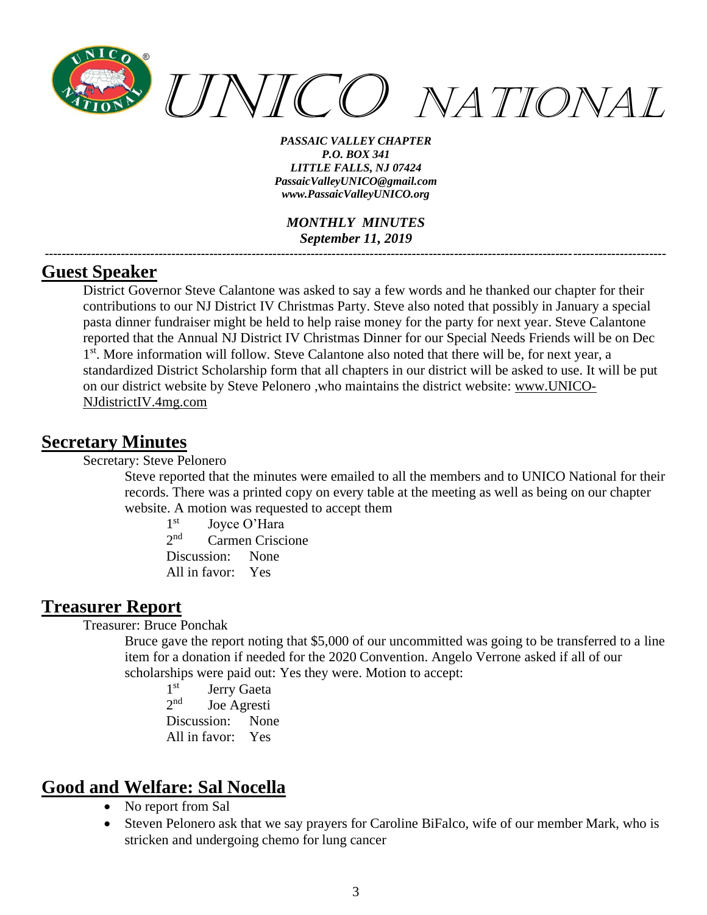

*MONTHLY MINUTES September 11, 2019*

*---------------------------------------------------------------------------------------------------------------------------------------------------*

### **Guest Speaker**

District Governor Steve Calantone was asked to say a few words and he thanked our chapter for their contributions to our NJ District IV Christmas Party. Steve also noted that possibly in January a special pasta dinner fundraiser might be held to help raise money for the party for next year. Steve Calantone reported that the Annual NJ District IV Christmas Dinner for our Special Needs Friends will be on Dec 1<sup>st</sup>. More information will follow. Steve Calantone also noted that there will be, for next year, a standardized District Scholarship form that all chapters in our district will be asked to use. It will be put on our district website by Steve Pelonero ,who maintains the district website: [www.UNICO-](http://www.unico-njdistrictiv.4mg.com/)[NJdistrictIV.4mg.com](http://www.unico-njdistrictiv.4mg.com/)

#### **Secretary Minutes**

Secretary: Steve Pelonero

Steve reported that the minutes were emailed to all the members and to UNICO National for their records. There was a printed copy on every table at the meeting as well as being on our chapter website. A motion was requested to accept them

 $1<sup>st</sup>$ Joyce O'Hara  $2^{nd}$ Carmen Criscione

Discussion: None All in favor: Yes

# **Treasurer Report**

Treasurer: Bruce Ponchak

Bruce gave the report noting that \$5,000 of our uncommitted was going to be transferred to a line item for a donation if needed for the 2020 Convention. Angelo Verrone asked if all of our scholarships were paid out: Yes they were. Motion to accept:

 $1<sup>st</sup>$ Jerry Gaeta  $2<sup>nd</sup>$ Joe Agresti Discussion: None All in favor: Yes

# **Good and Welfare: Sal Nocella**

- No report from Sal
- Steven Pelonero ask that we say prayers for Caroline BiFalco, wife of our member Mark, who is stricken and undergoing chemo for lung cancer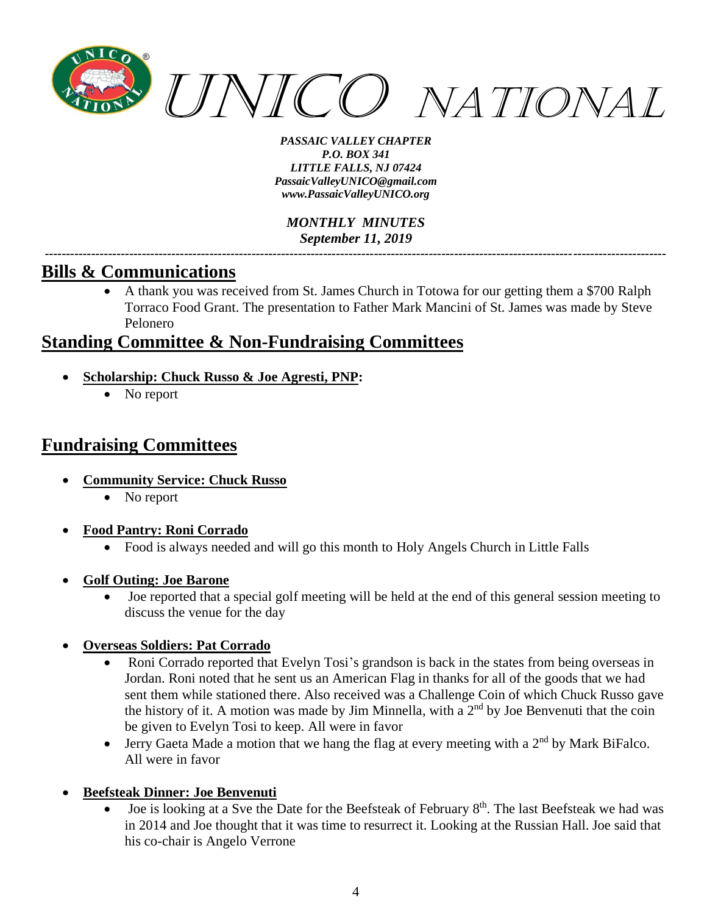

*MONTHLY MINUTES September 11, 2019 ---------------------------------------------------------------------------------------------------------------------------------------------------*

### **Bills & Communications**

• A thank you was received from St. James Church in Totowa for our getting them a \$700 Ralph Torraco Food Grant. The presentation to Father Mark Mancini of St. James was made by Steve Pelonero

## **Standing Committee & Non-Fundraising Committees**

- **Scholarship: Chuck Russo & Joe Agresti, PNP:**
	- No report

## **Fundraising Committees**

- **Community Service: Chuck Russo**
	- No report
- **Food Pantry: Roni Corrado** 
	- Food is always needed and will go this month to Holy Angels Church in Little Falls
- **Golf Outing: Joe Barone**
	- Joe reported that a special golf meeting will be held at the end of this general session meeting to discuss the venue for the day
- **Overseas Soldiers: Pat Corrado**
	- Roni Corrado reported that Evelyn Tosi's grandson is back in the states from being overseas in Jordan. Roni noted that he sent us an American Flag in thanks for all of the goods that we had sent them while stationed there. Also received was a Challenge Coin of which Chuck Russo gave the history of it. A motion was made by Jim Minnella, with a  $2<sup>nd</sup>$  by Joe Benvenuti that the coin be given to Evelyn Tosi to keep. All were in favor
	- Jerry Gaeta Made a motion that we hang the flag at every meeting with a  $2<sup>nd</sup>$  by Mark BiFalco. All were in favor
- **Beefsteak Dinner: Joe Benvenuti**
	- Joe is looking at a Sve the Date for the Beefsteak of February 8<sup>th</sup>. The last Beefsteak we had was in 2014 and Joe thought that it was time to resurrect it. Looking at the Russian Hall. Joe said that his co-chair is Angelo Verrone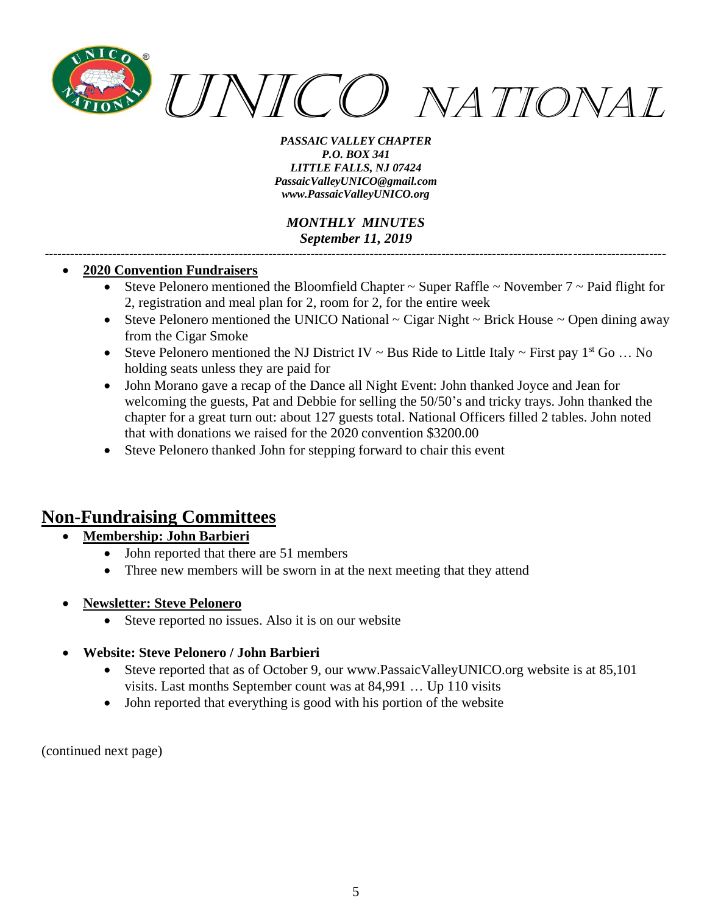

*MONTHLY MINUTES September 11, 2019*

*---------------------------------------------------------------------------------------------------------------------------------------------------*

#### • **2020 Convention Fundraisers**

- Steve Pelonero mentioned the Bloomfield Chapter  $\sim$  Super Raffle  $\sim$  November 7  $\sim$  Paid flight for 2, registration and meal plan for 2, room for 2, for the entire week
- Steve Pelonero mentioned the UNICO National  $\sim$  Cigar Night  $\sim$  Brick House  $\sim$  Open dining away from the Cigar Smoke
- Steve Pelonero mentioned the NJ District IV ~ Bus Ride to Little Italy ~ First pay  $1<sup>st</sup>$  Go ... No holding seats unless they are paid for
- John Morano gave a recap of the Dance all Night Event: John thanked Joyce and Jean for welcoming the guests, Pat and Debbie for selling the 50/50's and tricky trays. John thanked the chapter for a great turn out: about 127 guests total. National Officers filled 2 tables. John noted that with donations we raised for the 2020 convention \$3200.00
- Steve Pelonero thanked John for stepping forward to chair this event

## **Non-Fundraising Committees**

#### • **Membership: John Barbieri**

- John reported that there are 51 members
- Three new members will be sworn in at the next meeting that they attend
- **Newsletter: Steve Pelonero**
	- Steve reported no issues. Also it is on our website
- **Website: Steve Pelonero / John Barbieri**
	- Steve reported that as of October 9, our [www.PassaicValleyUNICO.org](http://www.passaicvalleyunico.org/) website is at 85,101 visits. Last months September count was at 84,991 … Up 110 visits
	- John reported that everything is good with his portion of the website

(continued next page)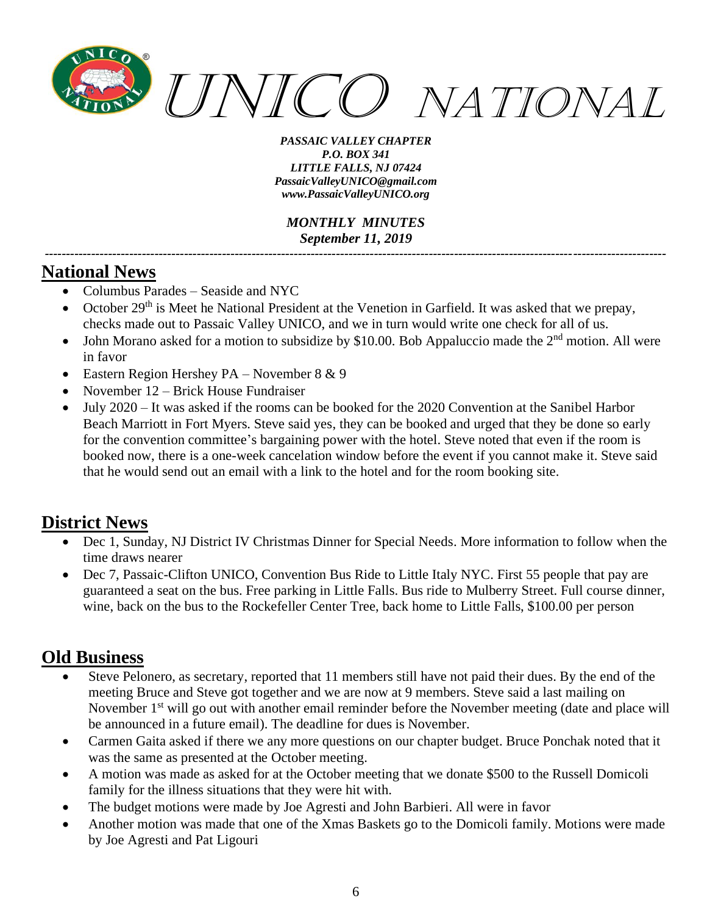

*MONTHLY MINUTES September 11, 2019 ---------------------------------------------------------------------------------------------------------------------------------------------------*

## **National News**

- Columbus Parades Seaside and NYC
- October  $29<sup>th</sup>$  is Meet he National President at the Venetion in Garfield. It was asked that we prepay, checks made out to Passaic Valley UNICO, and we in turn would write one check for all of us.
- John Morano asked for a motion to subsidize by \$10.00. Bob Appaluccio made the  $2<sup>nd</sup>$  motion. All were in favor
- Eastern Region Hershey PA November  $8 \& 9$
- November 12 Brick House Fundraiser
- July 2020 It was asked if the rooms can be booked for the 2020 Convention at the Sanibel Harbor Beach Marriott in Fort Myers. Steve said yes, they can be booked and urged that they be done so early for the convention committee's bargaining power with the hotel. Steve noted that even if the room is booked now, there is a one-week cancelation window before the event if you cannot make it. Steve said that he would send out an email with a link to the hotel and for the room booking site.

## **District News**

- Dec 1, Sunday, NJ District IV Christmas Dinner for Special Needs. More information to follow when the time draws nearer
- Dec 7, Passaic-Clifton UNICO, Convention Bus Ride to Little Italy NYC. First 55 people that pay are guaranteed a seat on the bus. Free parking in Little Falls. Bus ride to Mulberry Street. Full course dinner, wine, back on the bus to the Rockefeller Center Tree, back home to Little Falls, \$100.00 per person

## **Old Business**

- Steve Pelonero, as secretary, reported that 11 members still have not paid their dues. By the end of the meeting Bruce and Steve got together and we are now at 9 members. Steve said a last mailing on November 1<sup>st</sup> will go out with another email reminder before the November meeting (date and place will be announced in a future email). The deadline for dues is November.
- Carmen Gaita asked if there we any more questions on our chapter budget. Bruce Ponchak noted that it was the same as presented at the October meeting.
- A motion was made as asked for at the October meeting that we donate \$500 to the Russell Domicoli family for the illness situations that they were hit with.
- The budget motions were made by Joe Agresti and John Barbieri. All were in favor
- Another motion was made that one of the Xmas Baskets go to the Domicoli family. Motions were made by Joe Agresti and Pat Ligouri